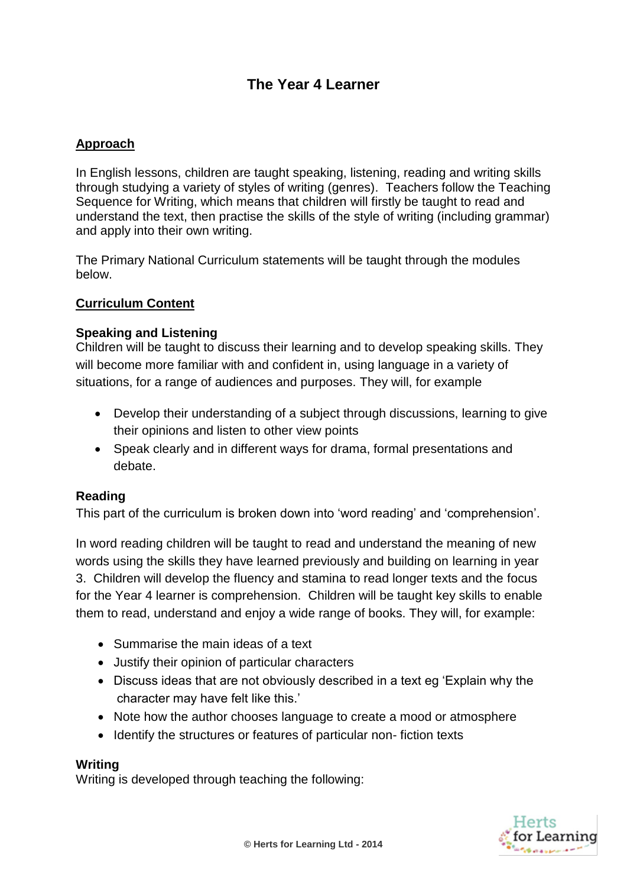# **The Year 4 Learner**

## **Approach**

In English lessons, children are taught speaking, listening, reading and writing skills through studying a variety of styles of writing (genres). Teachers follow the Teaching Sequence for Writing, which means that children will firstly be taught to read and understand the text, then practise the skills of the style of writing (including grammar) and apply into their own writing.

The Primary National Curriculum statements will be taught through the modules below.

### **Curriculum Content**

#### **Speaking and Listening**

Children will be taught to discuss their learning and to develop speaking skills. They will become more familiar with and confident in, using language in a variety of situations, for a range of audiences and purposes. They will, for example

- Develop their understanding of a subject through discussions, learning to give their opinions and listen to other view points
- Speak clearly and in different ways for drama, formal presentations and debate.

#### **Reading**

This part of the curriculum is broken down into 'word reading' and 'comprehension'.

In word reading children will be taught to read and understand the meaning of new words using the skills they have learned previously and building on learning in year 3. Children will develop the fluency and stamina to read longer texts and the focus for the Year 4 learner is comprehension. Children will be taught key skills to enable them to read, understand and enjoy a wide range of books. They will, for example:

- Summarise the main ideas of a text
- Justify their opinion of particular characters
- Discuss ideas that are not obviously described in a text eg 'Explain why the character may have felt like this.'
- Note how the author chooses language to create a mood or atmosphere
- Identify the structures or features of particular non-fiction texts

#### **Writing**

Writing is developed through teaching the following: